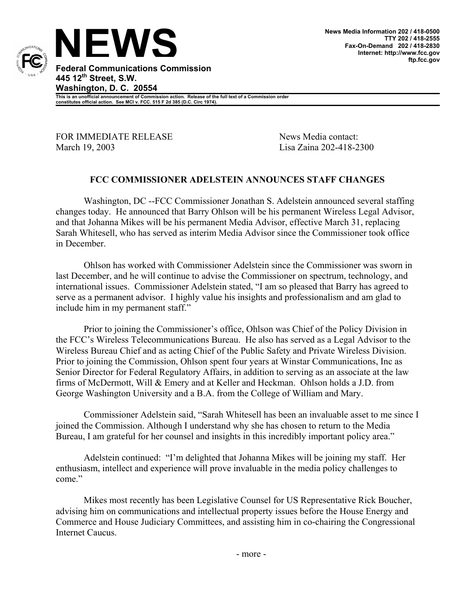

**This is an unofficial announcement of Commission action. Release of the full text of a Commission order constitutes official action. See MCI v. FCC. 515 F 2d 385 (D.C. Circ 1974).** 

FOR IMMEDIATE RELEASE News Media contact: March 19, 2003 Lisa Zaina 202-418-2300

## **FCC COMMISSIONER ADELSTEIN ANNOUNCES STAFF CHANGES**

 Washington, DC --FCC Commissioner Jonathan S. Adelstein announced several staffing changes today. He announced that Barry Ohlson will be his permanent Wireless Legal Advisor, and that Johanna Mikes will be his permanent Media Advisor, effective March 31, replacing Sarah Whitesell, who has served as interim Media Advisor since the Commissioner took office in December.

 Ohlson has worked with Commissioner Adelstein since the Commissioner was sworn in last December, and he will continue to advise the Commissioner on spectrum, technology, and international issues. Commissioner Adelstein stated, "I am so pleased that Barry has agreed to serve as a permanent advisor. I highly value his insights and professionalism and am glad to include him in my permanent staff."

 Prior to joining the Commissioner's office, Ohlson was Chief of the Policy Division in the FCC's Wireless Telecommunications Bureau. He also has served as a Legal Advisor to the Wireless Bureau Chief and as acting Chief of the Public Safety and Private Wireless Division. Prior to joining the Commission, Ohlson spent four years at Winstar Communications, Inc as Senior Director for Federal Regulatory Affairs, in addition to serving as an associate at the law firms of McDermott, Will & Emery and at Keller and Heckman. Ohlson holds a J.D. from George Washington University and a B.A. from the College of William and Mary.

 Commissioner Adelstein said, "Sarah Whitesell has been an invaluable asset to me since I joined the Commission. Although I understand why she has chosen to return to the Media Bureau, I am grateful for her counsel and insights in this incredibly important policy area."

Adelstein continued: "I'm delighted that Johanna Mikes will be joining my staff. Her enthusiasm, intellect and experience will prove invaluable in the media policy challenges to come"

Mikes most recently has been Legislative Counsel for US Representative Rick Boucher, advising him on communications and intellectual property issues before the House Energy and Commerce and House Judiciary Committees, and assisting him in co-chairing the Congressional Internet Caucus.